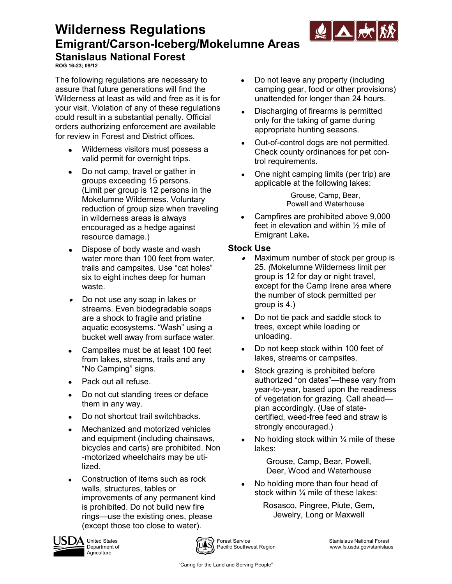

## **Wilderness Regulations Emigrant/Carson-Iceberg/Mokelumne Areas Stanislaus National Forest**

**ROG 16-23; 09/12**

The following regulations are necessary to assure that future generations will find the Wilderness at least as wild and free as it is for your visit. Violation of any of these regulations could result in a substantial penalty. Official orders authorizing enforcement are available for review in Forest and District offices*.*

- Wilderness visitors must possess a valid permit for overnight trips.
- Do not camp, travel or gather in  $\bullet$ groups exceeding 15 persons. (Limit per group is 12 persons in the Mokelumne Wilderness. Voluntary reduction of group size when traveling in wilderness areas is always encouraged as a hedge against resource damage.)
- Dispose of body waste and wash  $\bullet$ water more than 100 feet from water, trails and campsites. Use "cat holes" six to eight inches deep for human waste.
- Do not use any soap in lakes or  $\bullet$ streams. Even biodegradable soaps are a shock to fragile and pristine aquatic ecosystems. "Wash" using a bucket well away from surface water.
- Campsites must be at least 100 feet from lakes, streams, trails and any "No Camping" signs.
- Pack out all refuse.  $\bullet$
- Do not cut standing trees or deface  $\bullet$ them in any way.
- $\bullet$ Do not shortcut trail switchbacks.
- Mechanized and motorized vehicles and equipment (including chainsaws, bicycles and carts) are prohibited. Non -motorized wheelchairs may be utilized.
- Construction of items such as rock  $\bullet$ walls, structures, tables or improvements of any permanent kind is prohibited. Do not build new fire rings—use the existing ones, please (except those too close to water).
- Do not leave any property (including camping gear, food or other provisions) unattended for longer than 24 hours.
- Discharging of firearms is permitted only for the taking of game during appropriate hunting seasons.
- Out-of-control dogs are not permitted. Check county ordinances for pet control requirements.
- One night camping limits (per trip) are applicable at the following lakes:

Grouse, Camp, Bear, Powell and Waterhouse

Campfires are prohibited above 9,000 feet in elevation and within ½ mile of Emigrant Lake**.**

#### **Stock Use**

- Maximum number of stock per group is 25. *(*Mokelumne Wilderness limit per group is 12 for day or night travel, except for the Camp Irene area where the number of stock permitted per group is 4.)
- Do not tie pack and saddle stock to trees, except while loading or unloading.
- Do not keep stock within 100 feet of lakes, streams or campsites.
- Stock grazing is prohibited before authorized "on dates"—these vary from year-to-year, based upon the readiness of vegetation for grazing. Call ahead plan accordingly. (Use of statecertified, weed-free feed and straw is strongly encouraged.)
- No holding stock within 1/4 mile of these lakes:

Grouse, Camp, Bear, Powell, Deer, Wood and Waterhouse

No holding more than four head of stock within ¼ mile of these lakes:

> Rosasco, Pingree, Piute, Gem, Jewelry, Long or Maxwell







UA United States **Forest Service** Service Stanislaus National Forest Service Stanislaus National Forest<br>Department of **Supervice Stanislaus** Department of Supervice Southwest Region www.fs.usda.gov/stanislau